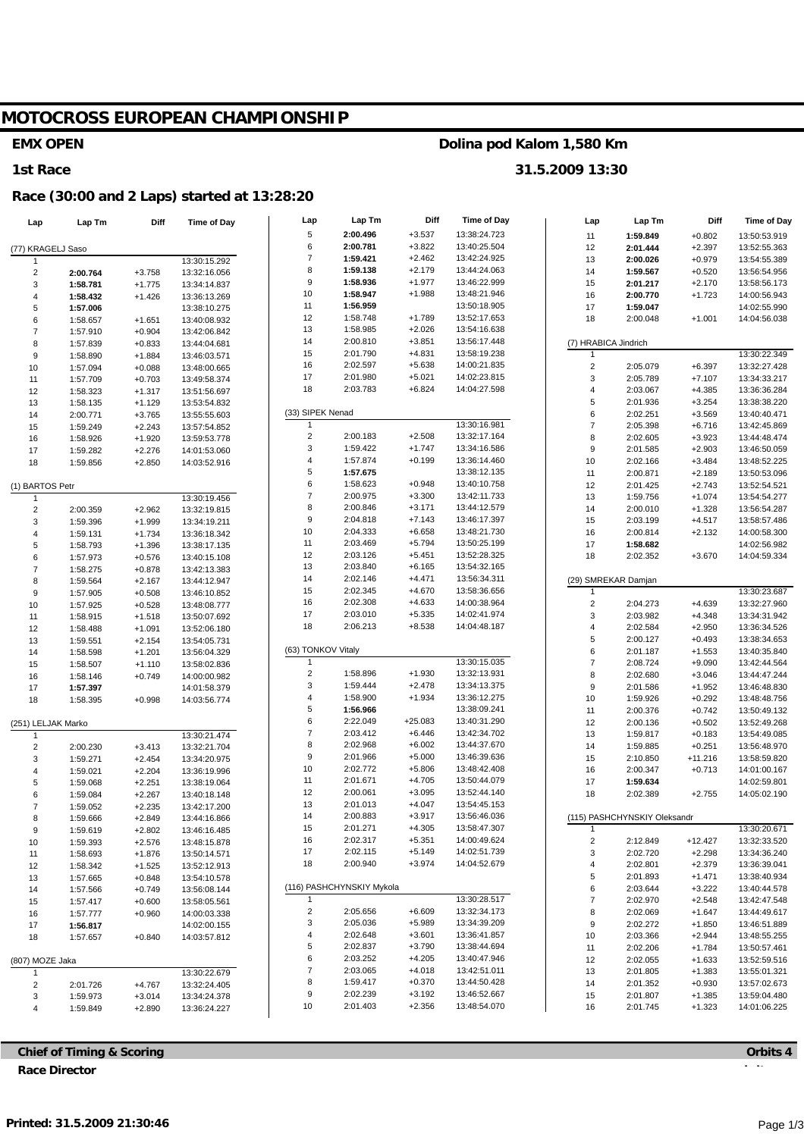# **MOTOCROSS EUROPEAN CHAMPIONSHIP**

#### **EMX OPEN**

#### **1st Race**

### **Race (30:00 and 2 Laps) started at 13:28:20**

| Lap                | Lap Tm               | Diff                 | <b>Time of Day</b>           | Lap                     | Lap Tm                    | Diff                 | <b>Time of Day</b>           | Lap                     | Lap Tm                       | Diff                  | <b>Time of Day</b>           |
|--------------------|----------------------|----------------------|------------------------------|-------------------------|---------------------------|----------------------|------------------------------|-------------------------|------------------------------|-----------------------|------------------------------|
|                    |                      |                      |                              | 5                       | 2:00.496                  | $+3.537$             | 13:38:24.723                 | 11                      | 1:59.849                     | $+0.802$              | 13:50:53.919                 |
| (77) KRAGELJ Saso  |                      |                      |                              | 6                       | 2:00.781                  | $+3.822$             | 13:40:25.504                 | 12                      | 2:01.444                     | $+2.397$              | 13:52:55.363                 |
|                    |                      |                      | 13:30:15.292                 | $\boldsymbol{7}$        | 1:59.421                  | $+2.462$             | 13:42:24.925                 | 13                      | 2:00.026                     | $+0.979$              | 13:54:55.389                 |
| $\overline{2}$     | 2:00.764             | $+3.758$             | 13:32:16.056                 | 8                       | 1:59.138                  | $+2.179$             | 13:44:24.063                 | 14                      | 1:59.567                     | $+0.520$              | 13:56:54.956                 |
| $\sqrt{3}$         | 1:58.781             | $+1.775$             | 13:34:14.837                 | 9                       | 1:58.936                  | $+1.977$             | 13:46:22.999                 | 15                      | 2:01.217                     | $+2.170$              | 13:58:56.173                 |
| $\overline{4}$     | 1:58.432             | $+1.426$             | 13:36:13.269                 | $10$                    | 1:58.947                  | $+1.988$             | 13:48:21.946                 | 16                      | 2:00.770                     | $+1.723$              | 14:00:56.943                 |
| 5                  | 1:57.006             |                      | 13:38:10.275                 | 11                      | 1:56.959                  |                      | 13:50:18.905                 | 17                      | 1:59.047                     |                       | 14:02:55.990                 |
| 6                  | 1:58.657             | $+1.651$             | 13:40:08.932                 | 12                      | 1:58.748                  | $+1.789$             | 13:52:17.653                 | 18                      | 2:00.048                     | $+1.001$              | 14:04:56.038                 |
| $\overline{7}$     | 1:57.910             | $+0.904$             | 13:42:06.842                 | 13                      | 1:58.985                  | $+2.026$             | 13:54:16.638                 |                         |                              |                       |                              |
| 8                  | 1:57.839             | $+0.833$             | 13:44:04.681                 | 14                      | 2:00.810                  | $+3.851$             | 13:56:17.448                 |                         | (7) HRABICA Jindrich         |                       |                              |
| $\boldsymbol{9}$   | 1:58.890             | $+1.884$             | 13:46:03.571                 | 15                      | 2:01.790                  | $+4.831$             | 13:58:19.238                 |                         |                              |                       | 13:30:22.349                 |
| 10                 | 1:57.094             | $+0.088$             | 13:48:00.665                 | 16                      | 2:02.597                  | $+5.638$             | 14:00:21.835<br>14:02:23.815 | $\mathbf 2$             | 2:05.079                     | $+6.397$              | 13:32:27.428                 |
| 11                 | 1:57.709             | $+0.703$             | 13:49:58.374                 | 17<br>18                | 2:01.980<br>2:03.783      | $+5.021$<br>$+6.824$ | 14:04:27.598                 | 3                       | 2:05.789                     | $+7.107$              | 13:34:33.217                 |
| 12                 | 1:58.323             | $+1.317$             | 13:51:56.697                 |                         |                           |                      |                              | 4<br>5                  | 2:03.067                     | $+4.385$              | 13:36:36.284                 |
| 13                 | 1:58.135             | $+1.129$             | 13:53:54.832                 | (33) SIPEK Nenad        |                           |                      |                              | 6                       | 2:01.936<br>2:02.251         | $+3.254$<br>$+3.569$  | 13:38:38.220<br>13:40:40.471 |
| 14                 | 2:00.771             | $+3.765$             | 13:55:55.603                 | 1                       |                           |                      | 13:30:16.981                 | $\boldsymbol{7}$        | 2:05.398                     | $+6.716$              | 13:42:45.869                 |
| 15                 | 1:59.249             | $+2.243$             | 13:57:54.852                 | $\overline{c}$          | 2:00.183                  | $+2.508$             | 13:32:17.164                 | 8                       | 2:02.605                     | $+3.923$              | 13:44:48.474                 |
| 16                 | 1:58.926<br>1:59.282 | $+1.920$<br>$+2.276$ | 13:59:53.778                 | 3                       | 1:59.422                  | $+1.747$             | 13:34:16.586                 | $\boldsymbol{9}$        | 2:01.585                     | $+2.903$              | 13:46:50.059                 |
| 17<br>18           | 1:59.856             | $+2.850$             | 14:01:53.060<br>14:03:52.916 | 4                       | 1:57.874                  | $+0.199$             | 13:36:14.460                 | 10                      | 2:02.166                     | $+3.484$              | 13:48:52.225                 |
|                    |                      |                      |                              | 5                       | 1:57.675                  |                      | 13:38:12.135                 | 11                      | 2:00.871                     | $+2.189$              | 13:50:53.096                 |
| (1) BARTOS Petr    |                      |                      |                              | 6                       | 1:58.623                  | $+0.948$             | 13:40:10.758                 | 12                      | 2:01.425                     | $+2.743$              | 13:52:54.521                 |
| $\overline{1}$     |                      |                      | 13:30:19.456                 | $\overline{\mathbf{7}}$ | 2:00.975                  | $+3.300$             | 13:42:11.733                 | 13                      | 1:59.756                     | $+1.074$              | 13:54:54.277                 |
| $\overline{c}$     | 2:00.359             | $+2.962$             | 13:32:19.815                 | 8                       | 2:00.846                  | $+3.171$             | 13:44:12.579                 | 14                      | 2:00.010                     | $+1.328$              | 13:56:54.287                 |
| 3                  | 1:59.396             | $+1.999$             | 13:34:19.211                 | 9                       | 2:04.818                  | $+7.143$             | 13:46:17.397                 | 15                      | 2:03.199                     | $+4.517$              | 13:58:57.486                 |
| 4                  | 1:59.131             | $+1.734$             | 13:36:18.342                 | 10                      | 2:04.333                  | $+6.658$             | 13:48:21.730                 | 16                      | 2:00.814                     | $+2.132$              | 14:00:58.300                 |
| 5                  | 1:58.793             | $+1.396$             | 13:38:17.135                 | 11                      | 2:03.469                  | $+5.794$             | 13:50:25.199                 | 17                      | 1:58.682                     |                       | 14:02:56.982                 |
| 6                  | 1:57.973             | $+0.576$             | 13:40:15.108                 | 12                      | 2:03.126                  | $+5.451$             | 13:52:28.325                 | 18                      | 2:02.352                     | $+3.670$              | 14:04:59.334                 |
| $\boldsymbol{7}$   | 1:58.275             | $+0.878$             | 13:42:13.383                 | 13                      | 2:03.840                  | $+6.165$             | 13:54:32.165                 |                         |                              |                       |                              |
| 8                  | 1:59.564             | $+2.167$             | 13:44:12.947                 | 14                      | 2:02.146                  | $+4.471$             | 13:56:34.311                 |                         | (29) SMREKAR Damjan          |                       |                              |
| $\boldsymbol{9}$   | 1:57.905             | $+0.508$             | 13:46:10.852                 | 15                      | 2:02.345                  | $+4.670$             | 13:58:36.656                 |                         |                              |                       | 13:30:23.687                 |
| 10                 | 1:57.925             | $+0.528$             | 13:48:08.777                 | 16                      | 2:02.308                  | $+4.633$             | 14:00:38.964                 | 2                       | 2:04.273                     | $+4.639$              | 13:32:27.960                 |
| 11                 | 1:58.915             | $+1.518$             | 13:50:07.692                 | 17                      | 2:03.010                  | $+5.335$             | 14:02:41.974                 | 3                       | 2:03.982                     | $+4.348$              | 13:34:31.942                 |
| 12                 | 1:58.488             | $+1.091$             | 13:52:06.180                 | 18                      | 2:06.213                  | $+8.538$             | 14:04:48.187                 | 4                       | 2:02.584                     | $+2.950$              | 13:36:34.526                 |
| 13                 | 1:59.551             | $+2.154$             | 13:54:05.731                 |                         |                           |                      |                              | 5                       | 2:00.127                     | $+0.493$              | 13:38:34.653                 |
| 14                 | 1:58.598             | $+1.201$             | 13:56:04.329                 | (63) TONKOV Vitaly      |                           |                      |                              | 6                       | 2:01.187                     | $+1.553$              | 13:40:35.840                 |
| 15                 | 1:58.507             | $+1.110$             | 13:58:02.836                 | $\mathbf{1}$            |                           |                      | 13:30:15.035                 | $\boldsymbol{7}$        | 2:08.724                     | $+9.090$              | 13:42:44.564                 |
| 16                 | 1:58.146             | $+0.749$             | 14:00:00.982                 | $\overline{\mathbf{c}}$ | 1:58.896                  | $+1.930$             | 13:32:13.931                 | 8                       | 2:02.680                     | $+3.046$              | 13:44:47.244                 |
| 17                 | 1:57.397             |                      | 14:01:58.379                 | 3                       | 1:59.444                  | $+2.478$             | 13:34:13.375                 | $\boldsymbol{9}$        | 2:01.586                     | $+1.952$              | 13:46:48.830                 |
| 18                 | 1:58.395             | $+0.998$             | 14:03:56.774                 | 4                       | 1:58.900                  | $+1.934$             | 13:36:12.275                 | 10                      | 1:59.926                     | $+0.292$              | 13:48:48.756                 |
|                    |                      |                      |                              | 5                       | 1:56.966                  |                      | 13:38:09.241                 | 11                      | 2:00.376                     | $+0.742$              | 13:50:49.132                 |
| (251) LELJAK Marko |                      |                      |                              | 6<br>$\boldsymbol{7}$   | 2:22.049                  | $+25.083$            | 13:40:31.290<br>13:42:34.702 | 12                      | 2:00.136                     | $+0.502$              | 13:52:49.268                 |
| -1                 |                      |                      | 13:30:21.474                 | 8                       | 2:03.412<br>2:02.968      | $+6.446$<br>$+6.002$ | 13:44:37.670                 | 13                      | 1:59.817                     | $+0.183$              | 13:54:49.085                 |
| $\overline{c}$     | 2:00.230             | $+3.413$             | 13:32:21.704                 | 9                       | 2:01.966                  | $+5.000$             | 13:46:39.636                 | 14                      | 1:59.885                     | $+0.251$              | 13:56:48.970                 |
| 3                  | 1:59.271             | $+2.454$             | 13:34:20.975                 | 10                      | 2:02.772                  | $+5.806$             | 13:48:42.408                 | 15<br>16                | 2:10.850<br>2:00.347         | $+11.216$<br>$+0.713$ | 13:58:59.820<br>14:01:00.167 |
| 4                  | 1:59.021             | $+2.204$             | 13:36:19.996                 | 11                      | 2:01.671                  | $+4.705$             | 13:50:44.079                 | 17                      | 1:59.634                     |                       | 14:02:59.801                 |
| 5<br>6             | 1:59.068<br>1:59.084 | $+2.251$<br>$+2.267$ | 13:38:19.064<br>13:40:18.148 | 12                      | 2:00.061                  | $+3.095$             | 13:52:44.140                 | 18                      | 2:02.389                     | $+2.755$              | 14:05:02.190                 |
| $\overline{7}$     | 1:59.052             | $+2.235$             | 13:42:17.200                 | 13                      | 2:01.013                  | $+4.047$             | 13:54:45.153                 |                         |                              |                       |                              |
|                    | 1:59.666             | $+2.849$             | 13:44:16.866                 | 14                      | 2:00.883                  | $+3.917$             | 13:56:46.036                 |                         | (115) PASHCHYNSKIY Oleksandr |                       |                              |
| 9                  | 1:59.619             | $+2.802$             | 13:46:16.485                 | 15                      | 2:01.271                  | $+4.305$             | 13:58:47.307                 | $\overline{1}$          |                              |                       | 13:30:20.671                 |
| 10                 | 1:59.393             | $+2.576$             | 13:48:15.878                 | 16                      | 2:02.317                  | $+5.351$             | 14:00:49.624                 | $\overline{\mathbf{c}}$ | 2:12.849                     | $+12.427$             | 13:32:33.520                 |
| 11                 | 1:58.693             | $+1.876$             | 13:50:14.571                 | 17                      | 2:02.115                  | $+5.149$             | 14:02:51.739                 | 3                       | 2:02.720                     | $+2.298$              | 13:34:36.240                 |
| 12                 | 1:58.342             | $+1.525$             | 13:52:12.913                 | 18                      | 2:00.940                  | $+3.974$             | 14:04:52.679                 | 4                       | 2:02.801                     | $+2.379$              | 13:36:39.041                 |
| 13                 | 1:57.665             | $+0.848$             | 13:54:10.578                 |                         |                           |                      |                              | 5                       | 2:01.893                     | $+1.471$              | 13:38:40.934                 |
| 14                 | 1:57.566             | $+0.749$             | 13:56:08.144                 |                         | (116) PASHCHYNSKIY Mykola |                      |                              | 6                       | 2:03.644                     | $+3.222$              | 13:40:44.578                 |
| 15                 | 1:57.417             | $+0.600$             | 13:58:05.561                 | 1                       |                           |                      | 13:30:28.517                 | $\overline{7}$          | 2:02.970                     | $+2.548$              | 13:42:47.548                 |
| 16                 | 1:57.777             | $+0.960$             | 14:00:03.338                 | $\sqrt{2}$              | 2:05.656                  | $+6.609$             | 13:32:34.173                 | 8                       | 2:02.069                     | $+1.647$              | 13:44:49.617                 |
| 17                 | 1:56.817             |                      | 14:02:00.155                 | 3                       | 2:05.036                  | $+5.989$             | 13:34:39.209                 | 9                       | 2:02.272                     | $+1.850$              | 13:46:51.889                 |
| 18                 | 1:57.657             | $+0.840$             | 14:03:57.812                 | 4                       | 2:02.648                  | $+3.601$             | 13:36:41.857                 | 10                      | 2:03.366                     | $+2.944$              | 13:48:55.255                 |
|                    |                      |                      |                              | 5                       | 2:02.837                  | $+3.790$             | 13:38:44.694                 | 11                      | 2:02.206                     | $+1.784$              | 13:50:57.461                 |
| (807) MOZE Jaka    |                      |                      |                              | 6                       | 2:03.252                  | $+4.205$             | 13:40:47.946                 | 12                      | 2:02.055                     | $+1.633$              | 13:52:59.516                 |
| $\overline{1}$     |                      |                      | 13:30:22.679                 | $\boldsymbol{7}$        | 2:03.065                  | $+4.018$             | 13:42:51.011                 | 13                      | 2:01.805                     | $+1.383$              | 13:55:01.321                 |
| $\overline{2}$     | 2:01.726             | +4.767               | 13:32:24.405                 | 8                       | 1:59.417                  | $+0.370$             | 13:44:50.428                 | 14                      | 2:01.352                     | $+0.930$              | 13:57:02.673                 |
| 3                  | 1:59.973             | $+3.014$             | 13:34:24.378                 | 9                       | 2:02.239                  | $+3.192$             | 13:46:52.667                 | 15                      | 2:01.807                     | $+1.385$              | 13:59:04.480                 |
| 4                  | 1:59.849             | $+2.890$             | 13:36:24.227                 | 10                      | 2:01.403                  | $+2.356$             | 13:48:54.070                 | 16                      | 2:01.745                     | $+1.323$              | 14:01:06.225                 |

**Chief of Timing & Scoring**

**Race Director**

**Orbits 4**

### **Dolina pod Kalom 1,580 Km**

**31.5.2009 13:30**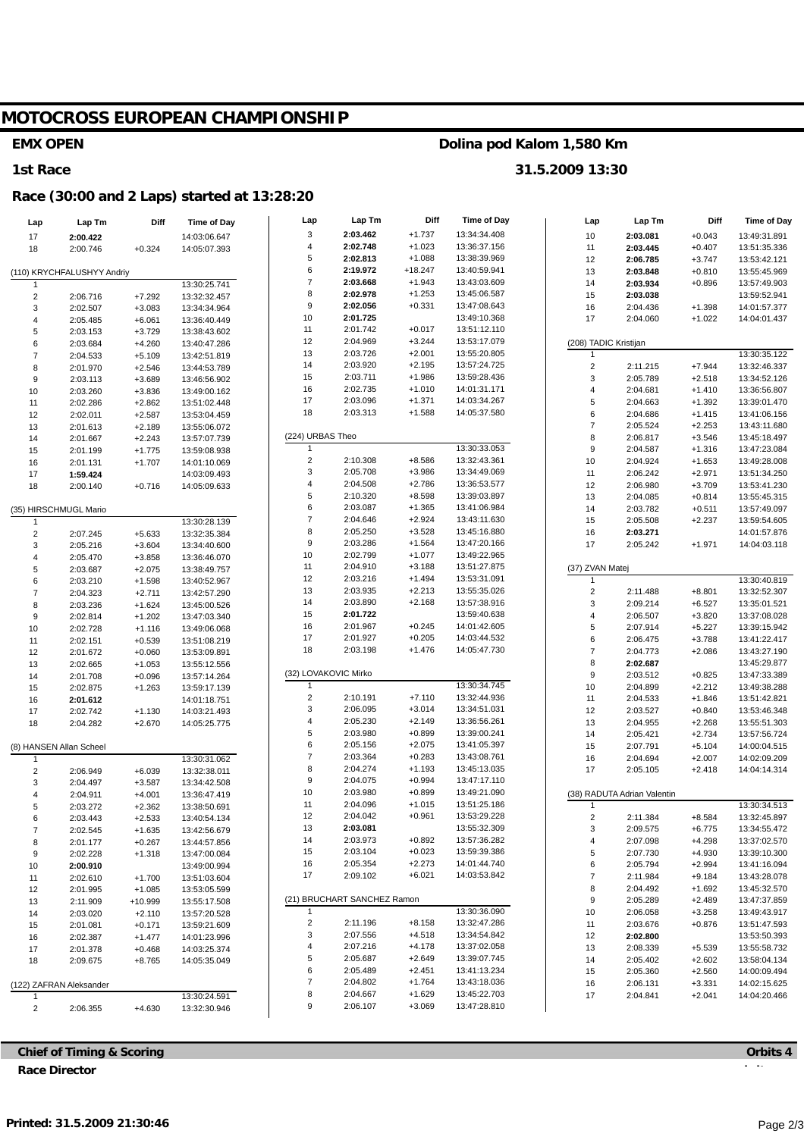# MOTOCROSS EUROPEAN CHAMPIONSHIP

#### **EMX OPEN**

#### 1st Race

### Race (30:00 and 2 Laps) started at 13:28:20

| Lap                     | Lap Tm                     | Diff                 | Time of Day                  | Lap                     | Lap Tm                      | Diff                 | <b>Time of Day</b>           | Lap                 | Lap Tm                      | Diff                 | <b>Time of Day</b>           |
|-------------------------|----------------------------|----------------------|------------------------------|-------------------------|-----------------------------|----------------------|------------------------------|---------------------|-----------------------------|----------------------|------------------------------|
| 17                      | 2:00.422                   |                      | 14:03:06.647                 | 3                       | 2:03.462                    | $+1.737$             | 13:34:34.408                 | 10                  | 2:03.081                    | $+0.043$             | 13:49:31.891                 |
| 18                      | 2:00.746                   | $+0.324$             | 14:05:07.393                 | 4                       | 2:02.748                    | $+1.023$             | 13:36:37.156                 | 11                  | 2:03.445                    | $+0.407$             | 13:51:35.336                 |
|                         |                            |                      |                              | 5                       | 2:02.813                    | $+1.088$             | 13:38:39.969                 | 12                  | 2:06.785                    | $+3.747$             | 13:53:42.121                 |
|                         | (110) KRYCHFALUSHYY Andriy |                      |                              | 6                       | 2:19.972                    | $+18.247$            | 13:40:59.941                 | 13                  | 2:03.848                    | $+0.810$             | 13:55:45.969                 |
|                         |                            |                      | 13:30:25.741                 | $\boldsymbol{7}$        | 2:03.668                    | $+1.943$             | 13:43:03.609                 | 14                  | 2:03.934                    | $+0.896$             | 13:57:49.903                 |
| $\overline{c}$          | 2:06.716                   | $+7.292$             | 13:32:32.457                 | 8                       | 2:02.978                    | $+1.253$             | 13:45:06.587                 | 15                  | 2:03.038                    |                      | 13:59:52.941                 |
| 3                       | 2:02.507                   | $+3.083$             | 13:34:34.964                 | 9                       | 2:02.056                    | $+0.331$             | 13:47:08.643                 | 16                  | 2:04.436                    | $+1.398$             | 14:01:57.377                 |
| $\overline{4}$          | 2:05.485                   | $+6.061$             | 13:36:40.449                 | 10                      | 2:01.725                    |                      | 13:49:10.368                 | 17                  | 2:04.060                    | $+1.022$             | 14:04:01.437                 |
| 5                       | 2:03.153                   | $+3.729$             | 13:38:43.602                 | 11                      | 2:01.742                    | $+0.017$             | 13:51:12.110                 |                     |                             |                      |                              |
| 6                       | 2:03.684                   | $+4.260$             | 13:40:47.286                 | 12                      | 2:04.969                    | $+3.244$             | 13:53:17.079                 |                     | (208) TADIC Kristijan       |                      |                              |
| $\overline{7}$          | 2:04.533                   | $+5.109$             | 13:42:51.819                 | 13                      | 2:03.726                    | $+2.001$             | 13:55:20.805                 | 1                   |                             |                      | 13:30:35.122                 |
| 8                       | 2:01.970                   | $+2.546$             | 13:44:53.789                 | 14                      | 2:03.920                    | $+2.195$             | 13:57:24.725                 | $\sqrt{2}$          | 2:11.215                    | $+7.944$             | 13:32:46.337                 |
| 9                       | 2:03.113                   | $+3.689$             | 13:46:56.902                 | 15                      | 2:03.711                    | $+1.986$             | 13:59:28.436                 | 3                   | 2:05.789                    | $+2.518$             | 13:34:52.126                 |
| 10                      | 2:03.260                   | $+3.836$             | 13:49:00.162                 | 16                      | 2:02.735                    | $+1.010$             | 14:01:31.171                 | $\overline{4}$      | 2:04.681                    | $+1.410$             | 13:36:56.807                 |
| 11                      | 2:02.286                   | $+2.862$             | 13:51:02.448                 | 17                      | 2:03.096                    | $+1.371$             | 14:03:34.267                 | 5                   | 2:04.663                    | $+1.392$             | 13:39:01.470                 |
| 12                      | 2:02.011                   | $+2.587$             | 13:53:04.459                 | 18                      | 2:03.313                    | $+1.588$             | 14:05:37.580                 | 6                   | 2:04.686                    | $+1.415$             | 13:41:06.156                 |
| 13                      | 2:01.613                   | $+2.189$             | 13:55:06.072                 |                         |                             |                      |                              | $\overline{7}$      | 2:05.524                    | $+2.253$             | 13:43:11.680                 |
| 14                      | 2:01.667                   | $+2.243$             | 13:57:07.739                 | (224) URBAS Theo        |                             |                      |                              | 8                   | 2:06.817                    | $+3.546$             | 13:45:18.497                 |
| 15                      | 2:01.199                   | $+1.775$             | 13:59:08.938                 | 1                       |                             |                      | 13:30:33.053                 | 9                   | 2:04.587                    | $+1.316$             | 13:47:23.084                 |
| 16                      | 2:01.131                   | $+1.707$             | 14:01:10.069                 | $\overline{\mathbf{c}}$ | 2:10.308                    | $+8.586$             | 13:32:43.361                 | 10                  | 2:04.924                    | $+1.653$             | 13:49:28.008                 |
| 17                      | 1:59.424                   |                      | 14:03:09.493                 | 3                       | 2:05.708                    | $+3.986$             | 13:34:49.069                 | 11                  | 2:06.242                    | $+2.971$             | 13:51:34.250                 |
| 18                      | 2:00.140                   | $+0.716$             | 14:05:09.633                 | 4                       | 2:04.508                    | $+2.786$             | 13:36:53.577                 | 12                  | 2:06.980                    | $+3.709$             | 13:53:41.230                 |
|                         |                            |                      |                              | 5                       | 2:10.320                    | $+8.598$             | 13:39:03.897                 | 13                  | 2:04.085                    | $+0.814$             | 13:55:45.315                 |
|                         | (35) HIRSCHMUGL Mario      |                      |                              | 6                       | 2:03.087                    | $+1.365$             | 13:41:06.984                 | 14                  | 2:03.782                    | $+0.511$             | 13:57:49.097                 |
| $\overline{\mathbf{1}}$ |                            |                      | 13:30:28.139                 | $\overline{\mathbf{7}}$ | 2:04.646                    | $+2.924$             | 13:43:11.630                 | 15                  | 2:05.508                    | $+2.237$             | 13:59:54.605                 |
| $\overline{2}$          | 2:07.245                   | $+5.633$             | 13:32:35.384                 | 8                       | 2:05.250                    | $+3.528$             | 13:45:16.880                 | 16                  | 2:03.271                    |                      | 14:01:57.876                 |
| 3                       | 2:05.216                   | $+3.604$             | 13:34:40.600                 | 9                       | 2:03.286                    | $+1.564$             | 13:47:20.166                 | 17                  | 2:05.242                    | $+1.971$             | 14:04:03.118                 |
| $\overline{4}$          | 2:05.470                   | $+3.858$             | 13:36:46.070                 | $10$<br>11              | 2:02.799                    | $+1.077$<br>$+3.188$ | 13:49:22.965<br>13:51:27.875 |                     |                             |                      |                              |
| $\,$ 5 $\,$             | 2:03.687                   | $+2.075$             | 13:38:49.757                 | 12                      | 2:04.910<br>2:03.216        | $+1.494$             | 13:53:31.091                 | (37) ZVAN Matej     |                             |                      |                              |
| 6                       | 2:03.210                   | $+1.598$             | 13:40:52.967                 | 13                      | 2:03.935                    | $+2.213$             | 13:55:35.026                 | 1                   |                             |                      | 13:30:40.819                 |
| $\overline{7}$          | 2:04.323                   | $+2.711$             | 13:42:57.290                 | 14                      | 2:03.890                    | $+2.168$             | 13:57:38.916                 | $\sqrt{2}$          | 2:11.488                    | $+8.801$             | 13:32:52.307                 |
| 8                       | 2:03.236                   | $+1.624$             | 13:45:00.526                 | 15                      | 2:01.722                    |                      | 13:59:40.638                 | 3<br>$\overline{4}$ | 2:09.214                    | $+6.527$             | 13:35:01.521                 |
| 9                       | 2:02.814                   | $+1.202$             | 13:47:03.340                 | 16                      | 2:01.967                    | $+0.245$             | 14:01:42.605                 | 5                   | 2:06.507<br>2:07.914        | $+3.820$<br>$+5.227$ | 13:37:08.028                 |
| 10                      | 2:02.728                   | $+1.116$             | 13:49:06.068                 | 17                      | 2:01.927                    | $+0.205$             | 14:03:44.532                 | 6                   | 2:06.475                    | $+3.788$             | 13:39:15.942<br>13:41:22.417 |
| 11                      | 2:02.151                   | $+0.539$             | 13:51:08.219                 | 18                      | 2:03.198                    | $+1.476$             | 14:05:47.730                 | $\overline{7}$      | 2:04.773                    | $+2.086$             | 13:43:27.190                 |
| 12                      | 2:01.672                   | $+0.060$             | 13:53:09.891                 |                         |                             |                      |                              | 8                   | 2:02.687                    |                      | 13:45:29.877                 |
| 13                      | 2:02.665                   | $+1.053$             | 13:55:12.556                 |                         | (32) LOVAKOVIC Mirko        |                      |                              | $\boldsymbol{9}$    | 2:03.512                    | $+0.825$             | 13:47:33.389                 |
| 14                      | 2:01.708<br>2:02.875       | $+0.096$<br>$+1.263$ | 13:57:14.264<br>13:59:17.139 | 1                       |                             |                      | 13:30:34.745                 | 10                  | 2:04.899                    | $+2.212$             | 13:49:38.288                 |
| 15<br>16                | 2:01.612                   |                      | 14:01:18.751                 | $\mathbf 2$             | 2:10.191                    | $+7.110$             | 13:32:44.936                 | 11                  | 2:04.533                    | $+1.846$             | 13:51:42.821                 |
| 17                      | 2:02.742                   | $+1.130$             | 14:03:21.493                 | 3                       | 2:06.095                    | $+3.014$             | 13:34:51.031                 | 12                  | 2:03.527                    | $+0.840$             | 13:53:46.348                 |
| 18                      | 2:04.282                   | $+2.670$             | 14:05:25.775                 | 4                       | 2:05.230                    | $+2.149$             | 13:36:56.261                 | 13                  | 2:04.955                    | $+2.268$             | 13:55:51.303                 |
|                         |                            |                      |                              | 5                       | 2:03.980                    | $+0.899$             | 13:39:00.241                 | 14                  | 2:05.421                    | $+2.734$             | 13:57:56.724                 |
|                         | (8) HANSEN Allan Scheel    |                      |                              | 6                       | 2:05.156                    | $+2.075$             | 13:41:05.397                 | 15                  | 2:07.791                    | $+5.104$             | 14:00:04.515                 |
| -1                      |                            |                      | 13:30:31.062                 | $\boldsymbol{7}$        | 2:03.364                    | $+0.283$             | 13:43:08.761                 | 16                  | 2:04.694                    | $+2.007$             | 14:02:09.209                 |
| $\overline{2}$          | 2:06.949                   | $+6.039$             | 13:32:38.011                 | 8                       | 2:04.274                    | $+1.193$             | 13:45:13.035                 | 17                  | 2:05.105                    | $+2.418$             | 14:04:14.314                 |
| 3                       | 2:04.497                   | $+3.587$             | 13:34:42.508                 | 9                       | 2:04.075                    | $+0.994$             | 13:47:17.110                 |                     |                             |                      |                              |
|                         | 2:04.911                   | $+4.001$             | 13:36:47.419                 | 10                      | 2:03.980                    | $+0.899$             | 13:49:21.090                 |                     | (38) RADUTA Adrian Valentin |                      |                              |
| 5                       | 2:03.272                   | $+2.362$             | 13:38:50.691                 | 11                      | 2:04.096                    | $+1.015$             | 13:51:25.186                 | -1                  |                             |                      | 13:30:34.513                 |
| 6                       | 2:03.443                   | $+2.533$             | 13:40:54.134                 | 12                      | 2:04.042                    | $+0.961$             | 13:53:29.228                 | $\overline{2}$      | 2:11.384                    | +8.584               | 13:32:45.897                 |
| $\overline{7}$          | 2:02.545                   | $+1.635$             | 13:42:56.679                 | 13                      | 2:03.081                    |                      | 13:55:32.309                 | 3                   | 2:09.575                    | $+6.775$             | 13:34:55.472                 |
| 8                       | 2:01.177                   | $+0.267$             | 13:44:57.856                 | 14                      | 2:03.973                    | $+0.892$             | 13:57:36.282                 | $\overline{4}$      | 2:07.098                    | $+4.298$             | 13:37:02.570                 |
| 9                       | 2:02.228                   | $+1.318$             | 13:47:00.084                 | 15                      | 2:03.104                    | $+0.023$             | 13:59:39.386                 | 5                   | 2:07.730                    | $+4.930$             | 13:39:10.300                 |
| 10                      | 2:00.910                   |                      | 13:49:00.994                 | 16                      | 2:05.354                    | $+2.273$             | 14:01:44.740                 | 6                   | 2:05.794                    | $+2.994$             | 13:41:16.094                 |
| 11                      | 2:02.610                   | $+1.700$             | 13:51:03.604                 | 17                      | 2:09.102                    | $+6.021$             | 14:03:53.842                 | $\overline{7}$      | 2:11.984                    | $+9.184$             | 13:43:28.078                 |
| 12                      | 2:01.995                   | $+1.085$             | 13:53:05.599                 |                         |                             |                      |                              | 8                   | 2:04.492                    | $+1.692$             | 13:45:32.570                 |
| 13                      | 2:11.909                   | $+10.999$            | 13:55:17.508                 |                         | (21) BRUCHART SANCHEZ Ramon |                      |                              | 9                   | 2:05.289                    | $+2.489$             | 13:47:37.859                 |
| 14                      | 2:03.020                   | $+2.110$             | 13:57:20.528                 |                         |                             |                      | 13:30:36.090                 | 10                  | 2:06.058                    | $+3.258$             | 13:49:43.917                 |
| 15                      | 2:01.081                   | $+0.171$             | 13:59:21.609                 | $\overline{c}$          | 2:11.196                    | $+8.158$             | 13:32:47.286                 | 11                  | 2:03.676                    | $+0.876$             | 13:51:47.593                 |
| 16                      | 2:02.387                   | $+1.477$             | 14:01:23.996                 | 3                       | 2:07.556                    | $+4.518$             | 13:34:54.842                 | 12                  | 2:02.800                    |                      | 13:53:50.393                 |
| 17                      | 2:01.378                   | $+0.468$             | 14:03:25.374                 | 4                       | 2:07.216                    | $+4.178$             | 13:37:02.058                 | 13                  | 2:08.339                    | $+5.539$             | 13:55:58.732                 |
| 18                      | 2:09.675                   | $+8.765$             | 14:05:35.049                 | 5                       | 2:05.687                    | $+2.649$             | 13:39:07.745                 | 14                  | 2:05.402                    | $+2.602$             | 13:58:04.134                 |
|                         |                            |                      |                              | 6                       | 2:05.489                    | $+2.451$             | 13:41:13.234                 | 15                  | 2:05.360                    | $+2.560$             | 14:00:09.494                 |
|                         | (122) ZAFRAN Aleksander    |                      |                              | 7                       | 2:04.802                    | $+1.764$             | 13:43:18.036                 | 16                  | 2:06.131                    | $+3.331$             | 14:02:15.625                 |
| $\mathbf{1}$            |                            |                      | 13:30:24.591                 | 8                       | 2:04.667                    | $+1.629$             | 13:45:22.703                 | 17                  | 2:04.841                    | $+2.041$             | 14:04:20.466                 |
| $\overline{2}$          | 2:06.355                   | $+4.630$             | 13:32:30.946                 | 9                       | 2:06.107                    | $+3.069$             | 13:47:28.810                 |                     |                             |                      |                              |

Dolina pod Kalom 1,580 Km

31.5.2009 13:30

**Chief of Timing & Scoring Race Director** 

## Orbits 4